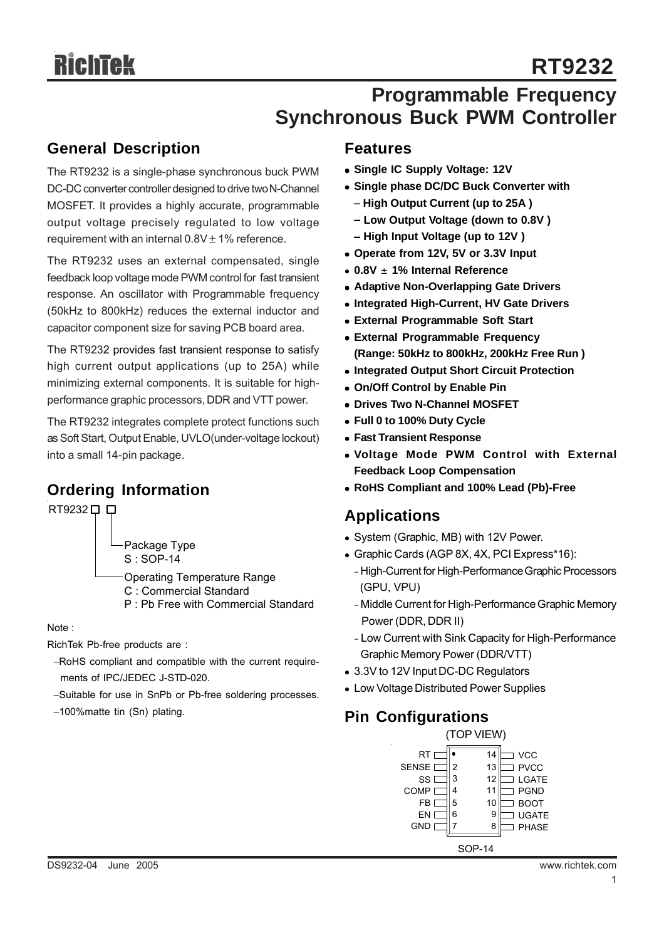## **Programmable Frequency Synchronous Buck PWM Controller**

### **General Description**

The RT9232 is a single-phase synchronous buck PWM DC-DC converter controller designed to drive two N-Channel MOSFET. It provides a highly accurate, programmable output voltage precisely regulated to low voltage requirement with an internal  $0.8V \pm 1\%$  reference.

The RT9232 uses an external compensated, single feedback loop voltage mode PWM control for fast transient response. An oscillator with Programmable frequency (50kHz to 800kHz) reduces the external inductor and capacitor component size for saving PCB board area.

The RT9232 provides fast transient response to satisfy high current output applications (up to 25A) while minimizing external components. It is suitable for highperformance graphic processors, DDR and VTT power.

The RT9232 integrates complete protect functions such as Soft Start, Output Enable, UVLO(under-voltage lockout) into a small 14-pin package.

## **Ordering Information**

| T9232. |  |
|--------|--|
|        |  |

Package Type S : SOP-14

Operating Temperature Range

- C : Commercial Standard
- P : Pb Free with Commercial Standard

Note :

RichTek Pb-free products are :

- −RoHS compliant and compatible with the current require ments of IPC/JEDEC J-STD-020.
- −Suitable for use in SnPb or Pb-free soldering processes.
- −100%matte tin (Sn) plating.

#### **Features**

- $\bullet$  **Single IC Supply Voltage: 12V**
- **Single phase DC/DC Buck Converter with** 
	- − **High Output Current (up to 25A )**
	- − **Low Output Voltage (down to 0.8V )** − **High Input Voltage (up to 12V )**
- Operate from 12V, 5V or 3.3V Input
- <sup>z</sup> **0.8V** ± **1% Internal Reference**
- **Adaptive Non-Overlapping Gate Drivers**
- **Integrated High-Current, HV Gate Drivers**
- **External Programmable Soft Start**
- **External Programmable Frequency (Range: 50kHz to 800kHz, 200kHz Free Run )**
- **Integrated Output Short Circuit Protection**
- **On/Off Control by Enable Pin**
- **Drives Two N-Channel MOSFET**
- <sup>z</sup> **Full 0 to 100% Duty Cycle**
- **Fast Transient Response**
- <sup>z</sup> **Voltage Mode PWM Control with External Feedback Loop Compensation**
- <sup>z</sup> **RoHS Compliant and 100% Lead (Pb)-Free**

## **Applications**

- System (Graphic, MB) with 12V Power.
- Graphic Cards (AGP 8X, 4X, PCI Express\*16):
	- High-Current for High-Performance Graphic Processors (GPU, VPU)
	- Middle Current for High-Performance Graphic Memory Power (DDR, DDR II)
	- Low Current with Sink Capacity for High-Performance Graphic Memory Power (DDR/VTT)
- 3.3V to 12V Input DC-DC Regulators
- Low Voltage Distributed Power Supplies

## **Pin Configurations**

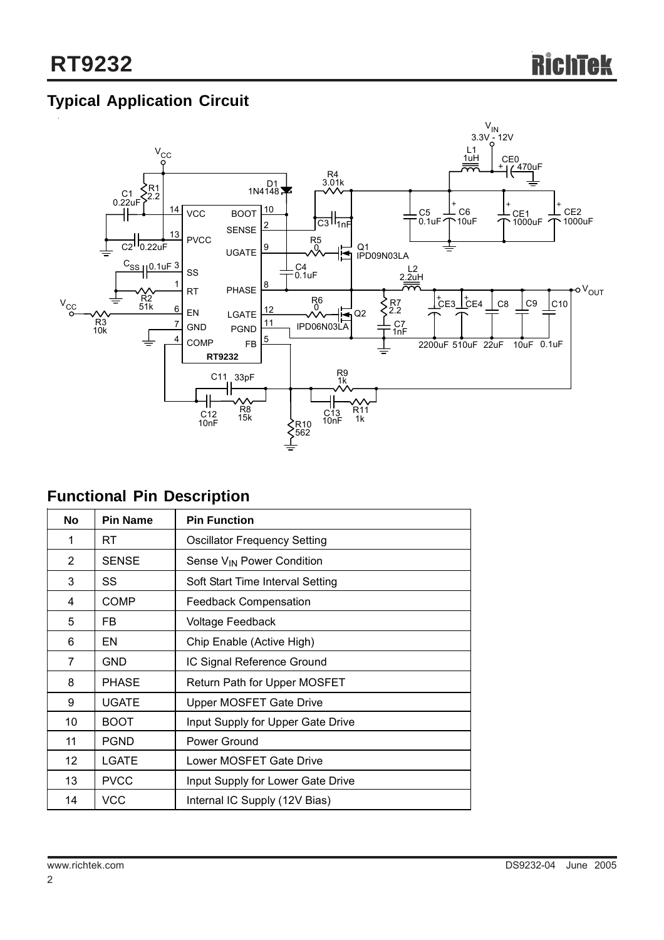## **Typical Application Circuit**



## **Functional Pin Description**

| No                | <b>Pin Name</b> | <b>Pin Function</b>                   |  |  |  |
|-------------------|-----------------|---------------------------------------|--|--|--|
| 1                 | RT              | <b>Oscillator Frequency Setting</b>   |  |  |  |
| $\overline{2}$    | <b>SENSE</b>    | Sense V <sub>IN</sub> Power Condition |  |  |  |
| 3                 | SS              | Soft Start Time Interval Setting      |  |  |  |
| 4                 | COMP            | <b>Feedback Compensation</b>          |  |  |  |
| 5                 | FB.             | Voltage Feedback                      |  |  |  |
| 6                 | EN              | Chip Enable (Active High)             |  |  |  |
| 7                 | <b>GND</b>      | IC Signal Reference Ground            |  |  |  |
| 8                 | PHASE           | Return Path for Upper MOSFET          |  |  |  |
| 9                 | UGATE           | Upper MOSFET Gate Drive               |  |  |  |
| 10                | BOOT            | Input Supply for Upper Gate Drive     |  |  |  |
| 11                | PGND            | Power Ground                          |  |  |  |
| $12 \overline{ }$ | LGATE           | Lower MOSFET Gate Drive               |  |  |  |
| 13                | <b>PVCC</b>     | Input Supply for Lower Gate Drive     |  |  |  |
| 14                | <b>VCC</b>      | Internal IC Supply (12V Bias)         |  |  |  |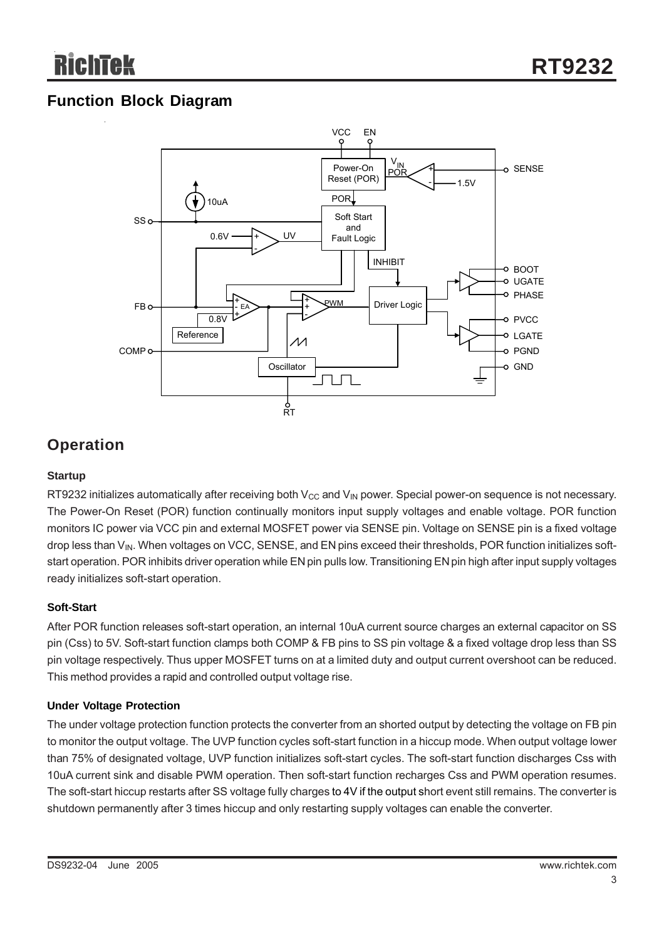## **Function Block Diagram**



## **Operation**

#### **Startup**

RT9232 initializes automatically after receiving both  $V_{CC}$  and  $V_{IN}$  power. Special power-on sequence is not necessary. The Power-On Reset (POR) function continually monitors input supply voltages and enable voltage. POR function monitors IC power via VCC pin and external MOSFET power via SENSE pin. Voltage on SENSE pin is a fixed voltage drop less than V<sub>IN</sub>. When voltages on VCC, SENSE, and EN pins exceed their thresholds, POR function initializes softstart operation. POR inhibits driver operation while EN pin pulls low. Transitioning EN pin high after input supply voltages ready initializes soft-start operation.

#### **Soft-Start**

After POR function releases soft-start operation, an internal 10uA current source charges an external capacitor on SS pin (Css) to 5V. Soft-start function clamps both COMP & FB pins to SS pin voltage & a fixed voltage drop less than SS pin voltage respectively. Thus upper MOSFET turns on at a limited duty and output current overshoot can be reduced. This method provides a rapid and controlled output voltage rise.

#### **Under Voltage Protection**

The under voltage protection function protects the converter from an shorted output by detecting the voltage on FB pin to monitor the output voltage. The UVP function cycles soft-start function in a hiccup mode. When output voltage lower than 75% of designated voltage, UVP function initializes soft-start cycles. The soft-start function discharges Css with 10uA current sink and disable PWM operation. Then soft-start function recharges Css and PWM operation resumes. The soft-start hiccup restarts after SS voltage fully charges to 4V if the output short event still remains. The converter is shutdown permanently after 3 times hiccup and only restarting supply voltages can enable the converter.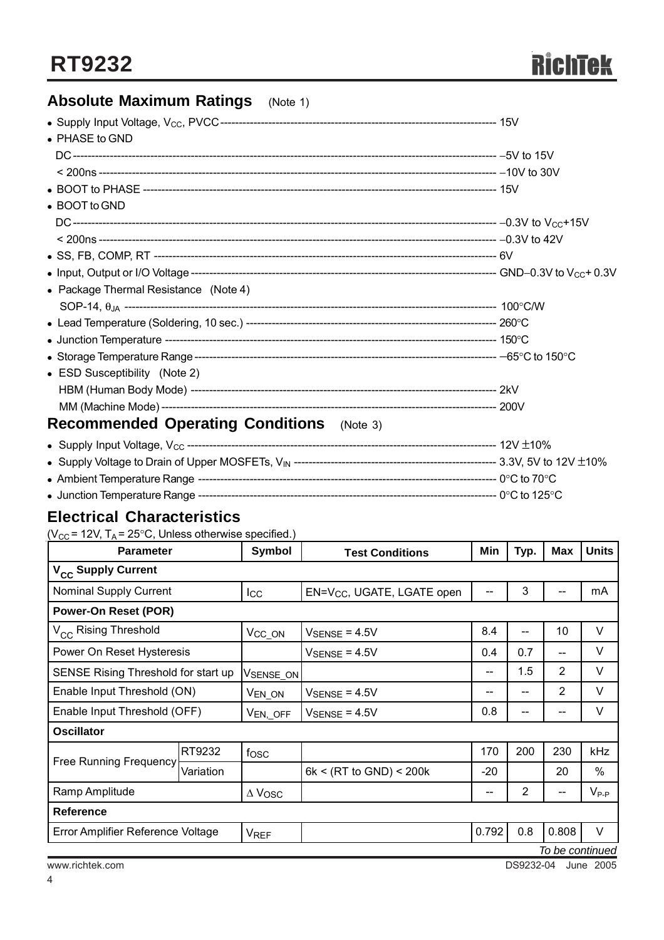## **Absolute Maximum Ratings** (Note 1)

| $\bullet$ PHASE to GND                           |  |
|--------------------------------------------------|--|
|                                                  |  |
|                                                  |  |
|                                                  |  |
| • BOOT to GND                                    |  |
|                                                  |  |
|                                                  |  |
|                                                  |  |
|                                                  |  |
| • Package Thermal Resistance (Note 4)            |  |
|                                                  |  |
|                                                  |  |
|                                                  |  |
|                                                  |  |
| • ESD Susceptibility (Note 2)                    |  |
|                                                  |  |
|                                                  |  |
| <b>Recommended Operating Conditions</b> (Note 3) |  |
|                                                  |  |

|                                        | ---- 3.3V, 5V to 12V $\pm$ 10% |
|----------------------------------------|--------------------------------|
|                                        |                                |
| • Junction Temperature Range --------- | --- 0°C to 125°C .             |

## **Electrical Characteristics**

( $V_{CC}$  = 12V, T<sub>A</sub> = 25°C, Unless otherwise specified.)

| <b>Parameter</b>                    |           | Symbol             | <b>Test Conditions</b>                 | Min                      | Typ. | Max             | <b>Units</b> |
|-------------------------------------|-----------|--------------------|----------------------------------------|--------------------------|------|-----------------|--------------|
| V <sub>CC</sub> Supply Current      |           |                    |                                        |                          |      |                 |              |
| <b>Nominal Supply Current</b>       |           | $_{\rm lcc}$       | EN=V <sub>CC</sub> , UGATE, LGATE open | --                       | 3    |                 | mA           |
| <b>Power-On Reset (POR)</b>         |           |                    |                                        |                          |      |                 |              |
| V <sub>CC</sub> Rising Threshold    |           | $V_{CC_ON}$        | $V_{\text{SENSE}} = 4.5V$              | 8.4                      | $-$  | 10              | V            |
| Power On Reset Hysteresis           |           |                    | $V_{\text{SENSE}} = 4.5V$              | 0.4                      | 0.7  | --              | V            |
| SENSE Rising Threshold for start up |           | VSENSE_ON          |                                        | --                       | 1.5  | $\overline{2}$  | V            |
| Enable Input Threshold (ON)         |           | V <sub>EN_ON</sub> | $V_{\text{SENSE}} = 4.5V$              | --                       | --   | $\overline{2}$  | V            |
| Enable Input Threshold (OFF)        |           | $V_{EN, \_OFF}$    | $V_{\text{SENSE}} = 4.5V$              | 0.8                      | --   | --              | V            |
| <b>Oscillator</b>                   |           |                    |                                        |                          |      |                 |              |
| <b>Free Running Frequency</b>       | RT9232    | fosc               |                                        | 170                      | 200  | 230             | kHz          |
|                                     | Variation |                    | 6k < (RT to GND) < 200k                | $-20$                    |      | 20              | $\%$         |
| Ramp Amplitude                      |           | $\Delta$ Vosc      |                                        | $\overline{\phantom{a}}$ | 2    | --              | $V_{P-P}$    |
| <b>Reference</b>                    |           |                    |                                        |                          |      |                 |              |
| Error Amplifier Reference Voltage   |           | <b>VREF</b>        |                                        | 0.792                    | 0.8  | 0.808           | V            |
|                                     |           |                    |                                        |                          |      | To be continued |              |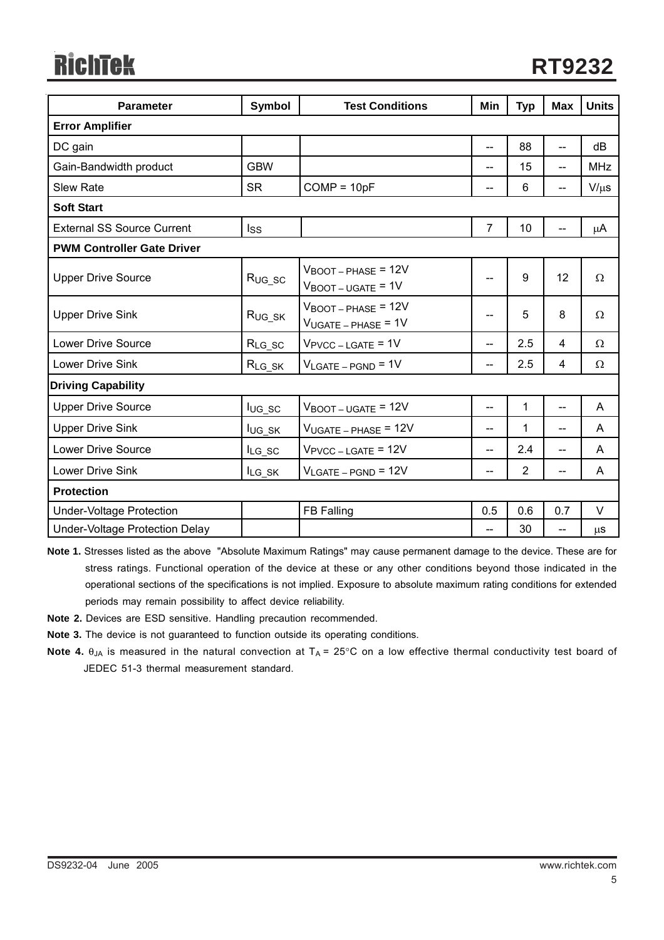# **RichTek**

| <b>Parameter</b>                  | <b>Symbol</b> | <b>Test Conditions</b>                                                      | Min            | <b>Typ</b>     | <b>Max</b>               | <b>Units</b> |  |  |
|-----------------------------------|---------------|-----------------------------------------------------------------------------|----------------|----------------|--------------------------|--------------|--|--|
| <b>Error Amplifier</b>            |               |                                                                             |                |                |                          |              |  |  |
| DC gain                           |               |                                                                             | $\overline{a}$ | 88             | $-$                      | dB           |  |  |
| Gain-Bandwidth product            | <b>GBW</b>    |                                                                             | $- -$          | 15             | $\overline{\phantom{0}}$ | <b>MHz</b>   |  |  |
| <b>Slew Rate</b>                  | <b>SR</b>     | $COMP = 10pF$                                                               | --             | 6              | --                       | $V/\mu s$    |  |  |
| <b>Soft Start</b>                 |               |                                                                             |                |                |                          |              |  |  |
| <b>External SS Source Current</b> | Iss           |                                                                             | $\overline{7}$ | 10             |                          | μA           |  |  |
| <b>PWM Controller Gate Driver</b> |               |                                                                             |                |                |                          |              |  |  |
| <b>Upper Drive Source</b>         | $R_{UG\_SC}$  | $V_{\text{BOOT}-\text{PHASE}}$ = 12V<br>$V_{\text{BOOT}-\text{UGATE}} = 1V$ | --             | 9              | 12 <sup>2</sup>          | Ω            |  |  |
| <b>Upper Drive Sink</b>           | $R_{UG\_SK}$  | $V_{\text{BOOT}-\text{PHASE}}$ = 12V<br>$V_{UGATE - PHASE}$ = 1V            | --             | 5              | 8                        | Ω            |  |  |
| <b>Lower Drive Source</b>         | $R_{LG\_SC}$  | $V_{\text{PVCC} - \text{LGATE}} = 1V$                                       | --             | 2.5            | 4                        | Ω            |  |  |
| Lower Drive Sink                  | $R_{LG\_SK}$  | $V_{LGATE-PGND} = 1V$                                                       | --             | 2.5            | 4                        | Ω            |  |  |
| <b>Driving Capability</b>         |               |                                                                             |                |                |                          |              |  |  |
| <b>Upper Drive Source</b>         | $I_{UG_SC}$   | $V_{\text{BOOT}-\text{UGATE}} = 12V$                                        | --             | $\mathbf{1}$   | --                       | A            |  |  |
| <b>Upper Drive Sink</b>           | lug_sk        | $V_{UGATE - PHASE}$ = 12V                                                   | --             | 1              | --                       | A            |  |  |
| Lower Drive Source                | $I_{LG\_SC}$  | $V_{\text{PVCC} - \text{LGATE}} = 12V$                                      | $- -$          | 2.4            | $- -$                    | A            |  |  |
| <b>Lower Drive Sink</b>           | $I_{LG\_SK}$  | $V_{LGATE-PGND}$ = 12V                                                      | --             | $\overline{2}$ | --                       | A            |  |  |
| <b>Protection</b>                 |               |                                                                             |                |                |                          |              |  |  |
| <b>Under-Voltage Protection</b>   |               | FB Falling                                                                  | 0.5            | 0.6            | 0.7                      | V            |  |  |
| Under-Voltage Protection Delay    |               |                                                                             | $- -$          | 30             | --                       | μS           |  |  |

**Note 1.** Stresses listed as the above "Absolute Maximum Ratings" may cause permanent damage to the device. These are for stress ratings. Functional operation of the device at these or any other conditions beyond those indicated in the operational sections of the specifications is not implied. Exposure to absolute maximum rating conditions for extended periods may remain possibility to affect device reliability.

**Note 2.** Devices are ESD sensitive. Handling precaution recommended.

**Note 3.** The device is not guaranteed to function outside its operating conditions.

**Note 4.** θ<sub>JA</sub> is measured in the natural convection at T<sub>A</sub> = 25°C on a low effective thermal conductivity test board of JEDEC 51-3 thermal measurement standard.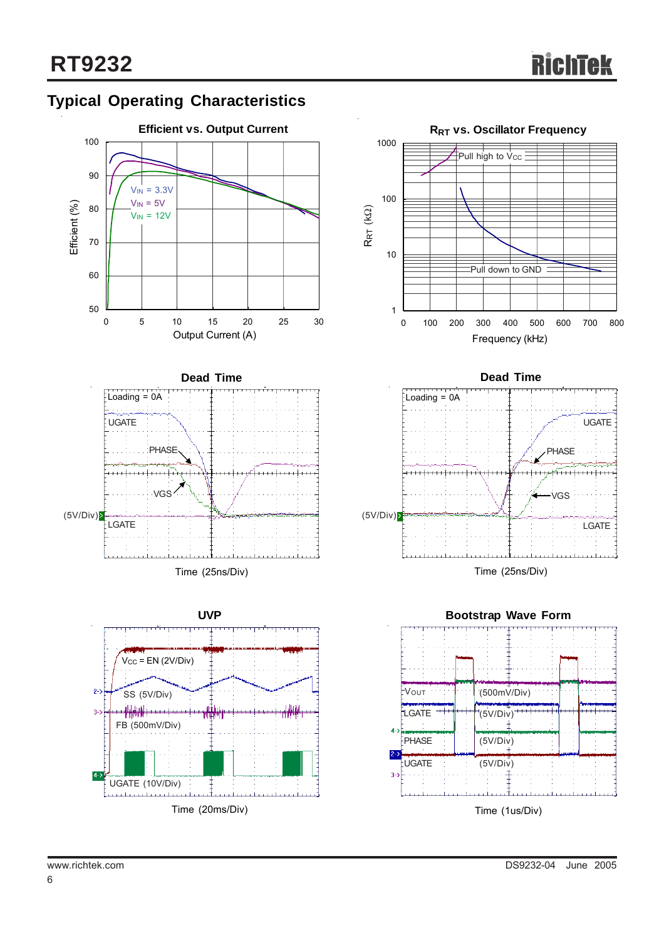

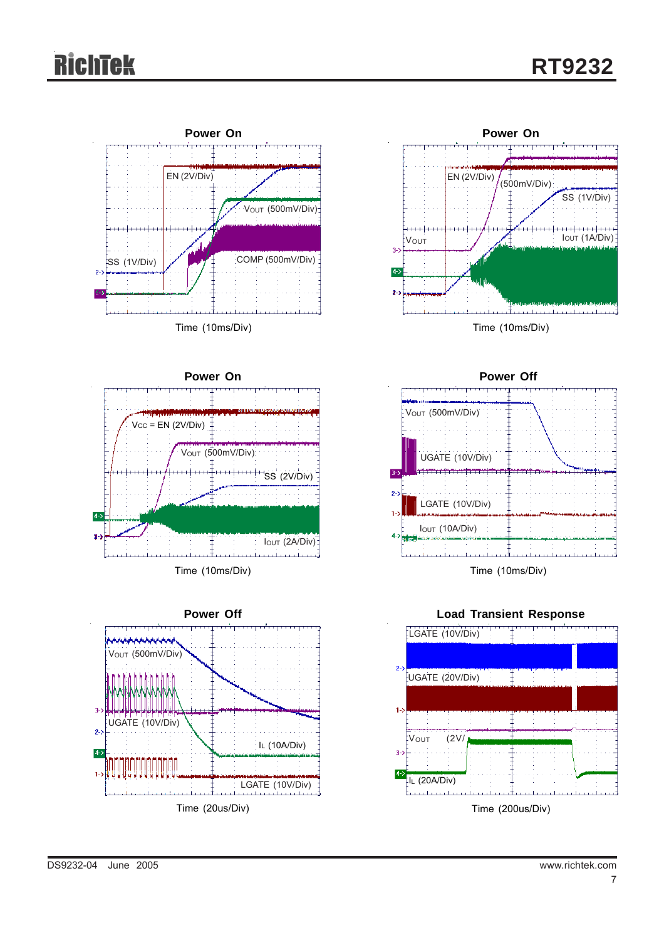## Richtek









**Power Off** V<sub>OUT</sub> (500mV/Div) UGATE (10V/Div) LGATE (10V/Div) IOUT (10A/Div) Time (10ms/Div)

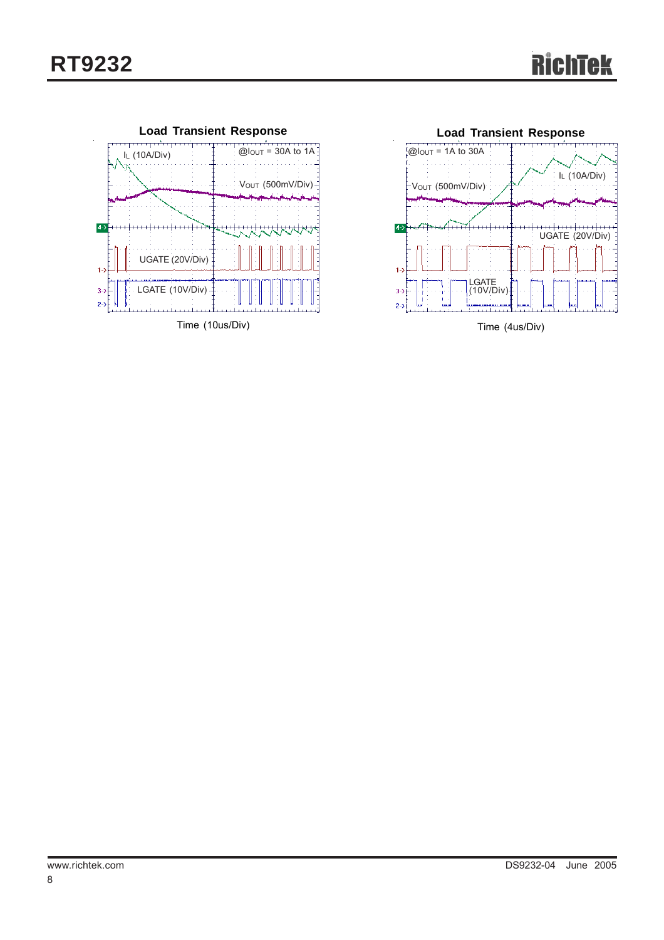

Time (10us/Div)



Time (4us/Div)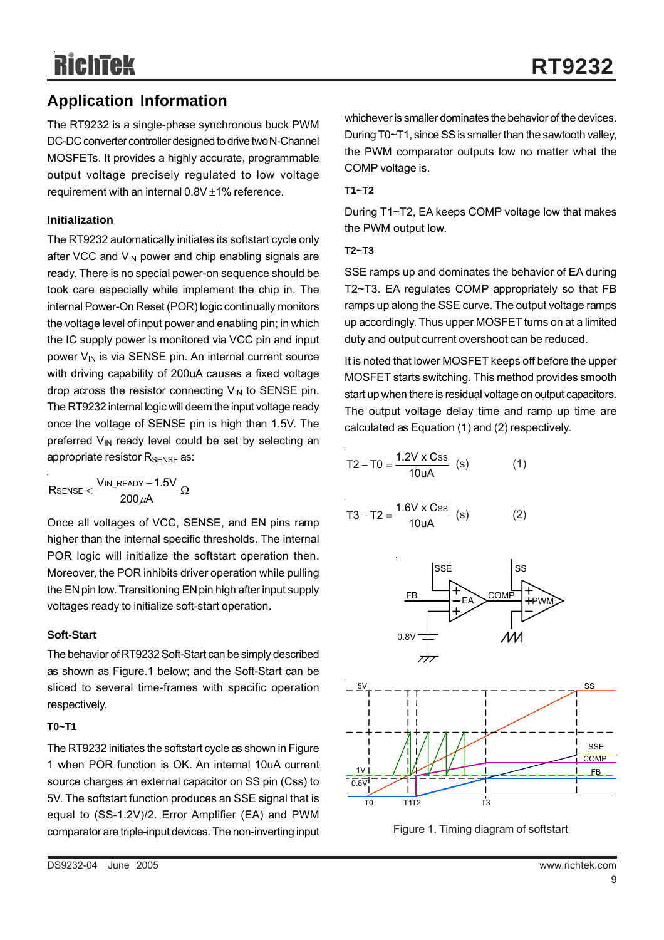## **Application Information**

The RT9232 is a single-phase synchronous buck PWM DC-DC converter controller designed to drive two N-Channel MOSFETs. It provides a highly accurate, programmable output voltage precisely regulated to low voltage requirement with an internal 0.8V ±1% reference.

#### **Initialization**

The RT9232 automatically initiates its softstart cycle only after VCC and  $V_{IN}$  power and chip enabling signals are ready. There is no special power-on sequence should be took care especially while implement the chip in. The internal Power-On Reset (POR) logic continually monitors the voltage level of input power and enabling pin; in which the IC supply power is monitored via VCC pin and input power  $V_{IN}$  is via SENSE pin. An internal current source with driving capability of 200uA causes a fixed voltage drop across the resistor connecting  $V_{IN}$  to SENSE pin. The RT9232 internal logic will deem the input voltage ready once the voltage of SENSE pin is high than 1.5V. The preferred  $V_{IN}$  ready level could be set by selecting an appropriate resistor R<sub>SENSE</sub> as:

$$
R_{SENSE} < \frac{V_{IN\_READV} - 1.5V}{200\,\mu A} \,\Omega
$$

Once all voltages of VCC, SENSE, and EN pins ramp higher than the internal specific thresholds. The internal POR logic will initialize the softstart operation then. Moreover, the POR inhibits driver operation while pulling the EN pin low. Transitioning EN pin high after input supply voltages ready to initialize soft-start operation.

#### **Soft-Start**

The behavior of RT9232 Soft-Start can be simply described as shown as Figure.1 below; and the Soft-Start can be sliced to several time-frames with specific operation respectively.

#### **T0~T1**

The RT9232 initiates the softstart cycle as shown in Figure 1 when POR function is OK. An internal 10uA current source charges an external capacitor on SS pin (Css) to 5V. The softstart function produces an SSE signal that is equal to (SS-1.2V)/2. Error Amplifier (EA) and PWM comparator are triple-input devices. The non-inverting input whichever is smaller dominates the behavior of the devices. During T0~T1, since SS is smaller than the sawtooth valley, the PWM comparator outputs low no matter what the COMP voltage is.

#### **T1~T2**

During T1~T2, EA keeps COMP voltage low that makes the PWM output low.

#### **T2~T3**

SSE ramps up and dominates the behavior of EA during T2~T3. EA regulates COMP appropriately so that FB ramps up along the SSE curve. The output voltage ramps up accordingly. Thus upper MOSFET turns on at a limited duty and output current overshoot can be reduced.

It is noted that lower MOSFET keeps off before the upper MOSFET starts switching. This method provides smooth start up when there is residual voltage on output capacitors. The output voltage delay time and ramp up time are calculated as Equation (1) and (2) respectively.

$$
T2 - T0 = \frac{1.2V \times Css}{10uA}
$$
 (s) (1)

$$
T3 - T2 = \frac{1.6V \times Css}{10uA}
$$
 (s) (2)



Figure 1. Timing diagram of softstart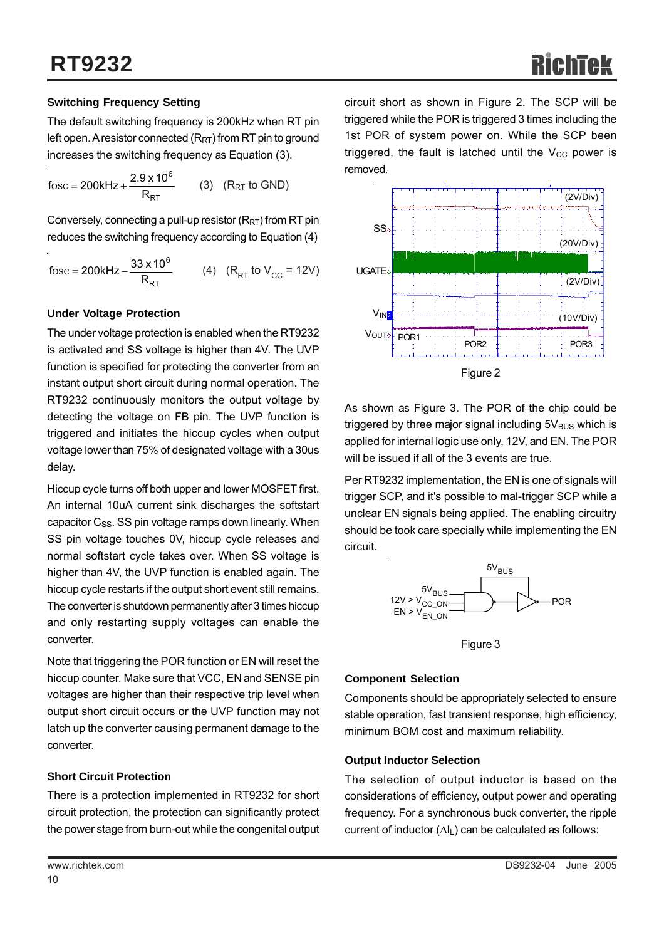#### **Switching Frequency Setting**

The default switching frequency is 200kHz when RT pin left open. A resistor connected  $(R_{RT})$  from RT pin to ground increases the switching frequency as Equation (3).

RT 6 fosc = 200kHz +  $\frac{2.9 \times 10^{6}}{R_{RT}}$  (3) (R<sub>RT</sub> to GND)

Conversely, connecting a pull-up resistor  $(R_{RT})$  from RT pin reduces the switching frequency according to Equation (4)

$$
fosc = 200kHz - \frac{33 \times 10^6}{R_{RT}} \qquad (4) \quad (R_{RT} \text{ to } V_{CC} = 12V)
$$

#### **Under Voltage Protection**

The under voltage protection is enabled when the RT9232 is activated and SS voltage is higher than 4V. The UVP function is specified for protecting the converter from an instant output short circuit during normal operation. The RT9232 continuously monitors the output voltage by detecting the voltage on FB pin. The UVP function is triggered and initiates the hiccup cycles when output voltage lower than 75% of designated voltage with a 30us delay.

Hiccup cycle turns off both upper and lower MOSFET first. An internal 10uA current sink discharges the softstart capacitor  $C_{SS}$ . SS pin voltage ramps down linearly. When SS pin voltage touches 0V, hiccup cycle releases and normal softstart cycle takes over. When SS voltage is higher than 4V, the UVP function is enabled again. The hiccup cycle restarts if the output short event still remains. The converter is shutdown permanently after 3 times hiccup and only restarting supply voltages can enable the converter.

Note that triggering the POR function or EN will reset the hiccup counter. Make sure that VCC, EN and SENSE pin voltages are higher than their respective trip level when output short circuit occurs or the UVP function may not latch up the converter causing permanent damage to the converter.

#### **Short Circuit Protection**

There is a protection implemented in RT9232 for short circuit protection, the protection can significantly protect the power stage from burn-out while the congenital output



As shown as Figure 3. The POR of the chip could be triggered by three major signal including  $5V_{BUS}$  which is applied for internal logic use only, 12V, and EN. The POR will be issued if all of the 3 events are true.

Per RT9232 implementation, the EN is one of signals will trigger SCP, and it's possible to mal-trigger SCP while a unclear EN signals being applied. The enabling circuitry should be took care specially while implementing the EN circuit.



Figure 3

#### **Component Selection**

Components should be appropriately selected to ensure stable operation, fast transient response, high efficiency, minimum BOM cost and maximum reliability.

#### **Output Inductor Selection**

The selection of output inductor is based on the considerations of efficiency, output power and operating frequency. For a synchronous buck converter, the ripple current of inductor  $(\Delta I_L)$  can be calculated as follows: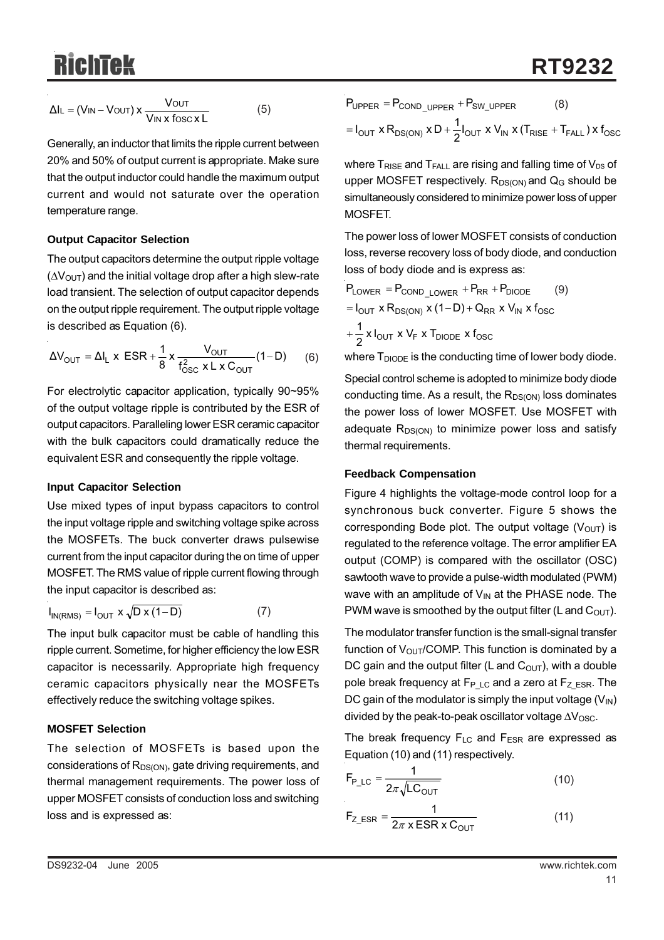$$
\Delta I_{L} = (V_{IN} - V_{OUT}) \times \frac{V_{OUT}}{V_{IN} \times \text{fosc} \times L}
$$
 (5)

Generally, an inductor that limits the ripple current between 20% and 50% of output current is appropriate. Make sure that the output inductor could handle the maximum output current and would not saturate over the operation temperature range.

#### **Output Capacitor Selection**

The output capacitors determine the output ripple voltage  $(\Delta V_{\text{OUT}})$  and the initial voltage drop after a high slew-rate load transient. The selection of output capacitor depends on the output ripple requirement. The output ripple voltage is described as Equation (6).

$$
\Delta V_{\text{OUT}} = \Delta I_{L} \times \text{ESR} + \frac{1}{8} \times \frac{V_{\text{OUT}}}{f_{\text{OSC}}^{2} \times L \times C_{\text{OUT}}} (1 - D) \tag{6}
$$

For electrolytic capacitor application, typically 90~95% of the output voltage ripple is contributed by the ESR of output capacitors. Paralleling lower ESR ceramic capacitor with the bulk capacitors could dramatically reduce the equivalent ESR and consequently the ripple voltage.

#### **Input Capacitor Selection**

Use mixed types of input bypass capacitors to control the input voltage ripple and switching voltage spike across the MOSFETs. The buck converter draws pulsewise current from the input capacitor during the on time of upper MOSFET. The RMS value of ripple current flowing through the input capacitor is described as:

$$
I_{IN(RMS)} = I_{OUT} \times \sqrt{D \times (1 - D)}
$$
 (7)

The input bulk capacitor must be cable of handling this ripple current. Sometime, for higher efficiency the low ESR capacitor is necessarily. Appropriate high frequency ceramic capacitors physically near the MOSFETs effectively reduce the switching voltage spikes.

#### **MOSFET Selection**

The selection of MOSFETs is based upon the considerations of  $R_{DS(ON)}$ , gate driving requirements, and thermal management requirements. The power loss of upper MOSFET consists of conduction loss and switching loss and is expressed as:

$$
P_{\text{UPPER}} = P_{\text{COND\_UPPER}} + P_{\text{SW\_UPPER}} \tag{8}
$$

$$
= I_{\text{OUT}} \times R_{\text{DS}(\text{ON})} \times D + \frac{1}{2} I_{\text{OUT}} \times V_{\text{IN}} \times (T_{\text{RISE}} + T_{\text{FALL}}) \times f_{\text{OSC}}
$$

where  $T_{RISE}$  and  $T_{FALL}$  are rising and falling time of  $V_{DS}$  of upper MOSFET respectively.  $R_{DS(ON)}$  and  $Q_G$  should be simultaneously considered to minimize power loss of upper MOSFET.

The power loss of lower MOSFET consists of conduction loss, reverse recovery loss of body diode, and conduction loss of body diode and is express as:

$$
P_{LOWER} = P_{COND\_LOWER} + P_{RR} + P_{DIODE}
$$
  
= I<sub>OUT</sub> x R<sub>DS(ON</sub>) x (1–D) + Q<sub>RR</sub> x V<sub>IN</sub> x f<sub>OSC</sub>  
+  $\frac{1}{2}$  x I<sub>OUT</sub> x V<sub>F</sub> x T<sub>DIODE</sub> x f<sub>osc</sub>

where  $T_{\text{DIODE}}$  is the conducting time of lower body diode.

Special control scheme is adopted to minimize body diode conducting time. As a result, the  $R_{DS(ON)}$  loss dominates the power loss of lower MOSFET. Use MOSFET with adequate  $R_{DS(ON)}$  to minimize power loss and satisfy thermal requirements.

#### **Feedback Compensation**

Figure 4 highlights the voltage-mode control loop for a synchronous buck converter. Figure 5 shows the corresponding Bode plot. The output voltage  $(V<sub>OUT</sub>)$  is regulated to the reference voltage. The error amplifier EA output (COMP) is compared with the oscillator (OSC) sawtooth wave to provide a pulse-width modulated (PWM) wave with an amplitude of  $V_{\text{IN}}$  at the PHASE node. The PWM wave is smoothed by the output filter (L and  $C_{\text{OUT}}$ ).

The modulator transfer function is the small-signal transfer function of  $V_{\text{OUT}}$ /COMP. This function is dominated by a DC gain and the output filter (L and  $C<sub>OUT</sub>$ ), with a double pole break frequency at  $F_{P LC}$  and a zero at  $F_Z_{ESR}$ . The DC gain of the modulator is simply the input voltage  $(V_{\text{IN}})$ divided by the peak-to-peak oscillator voltage  $\Delta V_{\rm OSC}$ .

The break frequency  $F_{LC}$  and  $F_{ESR}$  are expressed as Equation (10) and (11) respectively.

$$
F_{P\_LC} = \frac{1}{2\pi\sqrt{LC_{OUT}}}
$$
 (10)

$$
F_{Z\_ESR} = \frac{1}{2\pi \times ESR \times C_{OUT}} \tag{11}
$$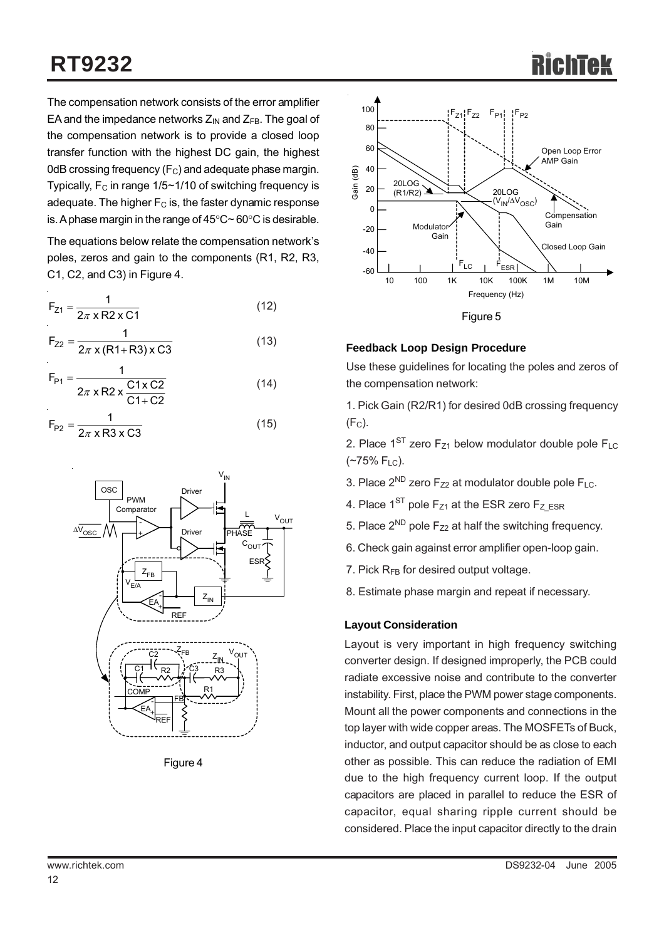## **RT9232**

The compensation network consists of the error amplifier EA and the impedance networks  $Z_{IN}$  and  $Z_{FB}$ . The goal of the compensation network is to provide a closed loop transfer function with the highest DC gain, the highest 0dB crossing frequency  $(F_C)$  and adequate phase margin. Typically,  $F_C$  in range 1/5~1/10 of switching frequency is adequate. The higher  $F<sub>C</sub>$  is, the faster dynamic response is. A phase margin in the range of 45°C~ 60°C is desirable.

The equations below relate the compensation network's poles, zeros and gain to the components (R1, R2, R3, C1, C2, and C3) in Figure 4.

$$
F_{Z1} = \frac{1}{2\pi \times R2 \times C1}
$$
 (12)

$$
F_{Z2} = \frac{1}{2\pi \times (R1 + R3) \times C3}
$$
 (13)

$$
F_{P1} = \frac{1}{2\pi \times R2 \times \frac{C1 \times C2}{C1 + C2}}
$$
(14)  

$$
F_{P2} = \frac{1}{2\pi \times R3 \times C3}
$$
(15)

$$
\frac{\sqrt{V_{OSC}}}{\sqrt{V_{ESA}}}
$$
\n
$$
\frac{\sqrt{V_{ESA}}}{\sqrt{V_{E/A}}}
$$
\n
$$
\frac{\sqrt{V_{E/A}}}{\sqrt{V_{E/A}}}
$$
\n
$$
\frac{\sqrt{V_{E/A}}}{\sqrt{V_{E/A}}}
$$
\n
$$
\frac{\sqrt{V_{E/A}}}{\sqrt{V_{E/A}}}
$$
\n
$$
\frac{\sqrt{V_{E/A}}}{\sqrt{V_{E/A}}}
$$
\n
$$
\frac{\sqrt{V_{E/A}}}{\sqrt{V_{E/A}}}
$$
\n
$$
\frac{\sqrt{V_{E/A}}}{\sqrt{V_{E/A}}}
$$
\n
$$
\frac{\sqrt{V_{E/A}}}{\sqrt{V_{E/A}}}
$$
\n
$$
\frac{\sqrt{V_{E/A}}}{\sqrt{V_{E/A}}}
$$
\n
$$
\frac{\sqrt{V_{E/A}}}{\sqrt{V_{E/A}}}
$$
\n
$$
\frac{\sqrt{V_{E/A}}}{\sqrt{V_{E/A}}}
$$
\n
$$
\frac{\sqrt{V_{E/A}}}{\sqrt{V_{E/A}}}
$$
\n
$$
\frac{\sqrt{V_{E/A}}}{\sqrt{V_{E/A}}}
$$
\n
$$
\frac{\sqrt{V_{E/A}}}{\sqrt{V_{E/A}}}
$$
\n
$$
\frac{\sqrt{V_{E/A}}}{\sqrt{V_{E/A}}}
$$
\n
$$
\frac{\sqrt{V_{E/A}}}{\sqrt{V_{E/A}}}
$$
\n
$$
\frac{\sqrt{V_{E/A}}}{\sqrt{V_{E/A}}}
$$
\n
$$
\frac{\sqrt{V_{E/A}}}{\sqrt{V_{E/A}}}
$$
\n
$$
\frac{\sqrt{V_{E/A}}}{\sqrt{V_{E/A}}}
$$
\n
$$
\frac{\sqrt{V_{E/A}}}{\sqrt{V_{E/A}}}
$$
\n
$$
\frac{\sqrt{V_{E/A}}}{\sqrt{V_{E/A}}}
$$
\n
$$
\frac{\sqrt{V_{E/A}}}{\sqrt{V_{E/A}}}
$$
\n
$$
\frac{\sqrt{V_{E/A}}}{\sqrt{V_{E/A}}}
$$
\n
$$
\frac{\sqrt{V_{E/A}}}{\sqrt{V_{E/A}}}
$$
\n
$$
\frac{\sqrt{V_{E/A}}}{\sqrt{V_{E/A}}}
$$
\n
$$
\frac{\sqrt{V_{E/A}}}{\sqrt{V_{E/A}}}
$$
\n
$$
\frac{\sqrt
$$

Figure 4





#### **Feedback Loop Design Procedure**

Use these guidelines for locating the poles and zeros of the compensation network:

1. Pick Gain (R2/R1) for desired 0dB crossing frequency  $(F<sub>C</sub>)$ .

2. Place  $1^{ST}$  zero  $F_{Z1}$  below modulator double pole  $F_{LC}$  $(*75\% F_{LC})$ .

- 3. Place  $2^{ND}$  zero  $F_{Z2}$  at modulator double pole  $F_{LC}$ .
- 4. Place  $1^{ST}$  pole  $F_{Z1}$  at the ESR zero  $F_{Z|ESR}$
- 5. Place  $2^{ND}$  pole  $F_{72}$  at half the switching frequency.
- 6. Check gain against error amplifier open-loop gain.
- 7. Pick R<sub>FB</sub> for desired output voltage.
- 8. Estimate phase margin and repeat if necessary.

#### **Layout Consideration**

Layout is very important in high frequency switching converter design. If designed improperly, the PCB could radiate excessive noise and contribute to the converter instability. First, place the PWM power stage components. Mount all the power components and connections in the top layer with wide copper areas. The MOSFETs of Buck, inductor, and output capacitor should be as close to each other as possible. This can reduce the radiation of EMI due to the high frequency current loop. If the output capacitors are placed in parallel to reduce the ESR of capacitor, equal sharing ripple current should be considered. Place the input capacitor directly to the drain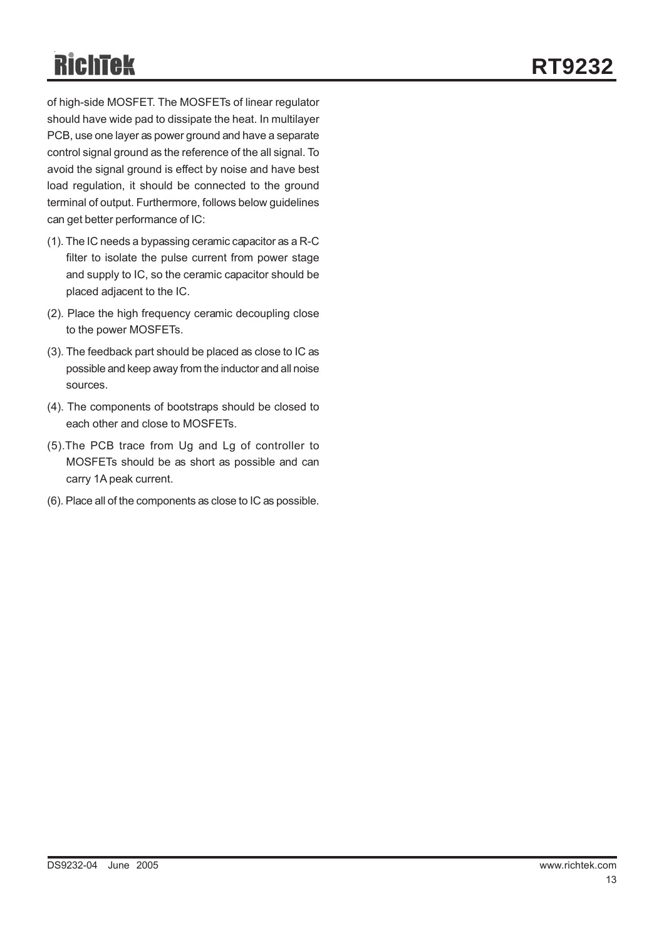of high-side MOSFET. The MOSFETs of linear regulator should have wide pad to dissipate the heat. In multilayer PCB, use one layer as power ground and have a separate control signal ground as the reference of the all signal. To avoid the signal ground is effect by noise and have best load regulation, it should be connected to the ground terminal of output. Furthermore, follows below guidelines can get better performance of IC:

- (1). The IC needs a bypassing ceramic capacitor as a R-C filter to isolate the pulse current from power stage and supply to IC, so the ceramic capacitor should be placed adjacent to the IC.
- (2). Place the high frequency ceramic decoupling close to the power MOSFETs.
- (3). The feedback part should be placed as close to IC as possible and keep away from the inductor and all noise sources.
- (4). The components of bootstraps should be closed to each other and close to MOSFETs.
- (5).The PCB trace from Ug and Lg of controller to MOSFETs should be as short as possible and can carry 1A peak current.
- (6). Place all of the components as close to IC as possible.